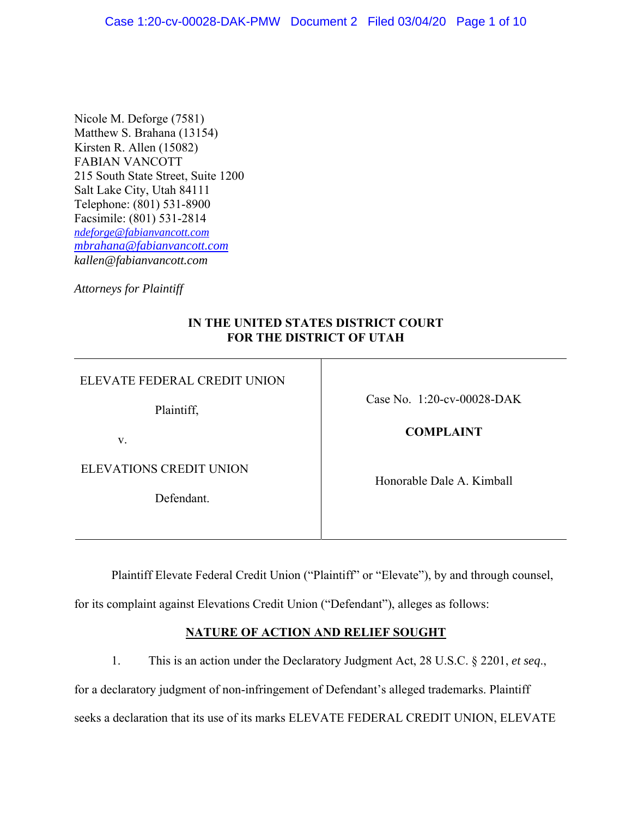Nicole M. Deforge (7581) Matthew S. Brahana (13154) Kirsten R. Allen (15082) FABIAN VANCOTT 215 South State Street, Suite 1200 Salt Lake City, Utah 84111 Telephone: (801) 531-8900 Facsimile: (801) 531-2814 *ndeforge@fabianvancott.com mbrahana@fabianvancott.com kallen@fabianvancott.com* 

*Attorneys for Plaintiff* 

## **IN THE UNITED STATES DISTRICT COURT FOR THE DISTRICT OF UTAH**

| ELEVATE FEDERAL CREDIT UNION   |                               |
|--------------------------------|-------------------------------|
| Plaintiff,                     | Case No. $1:20$ -cv-00028-DAK |
| V.                             | <b>COMPLAINT</b>              |
| <b>ELEVATIONS CREDIT UNION</b> | Honorable Dale A. Kimball     |
| Defendant.                     |                               |
|                                |                               |

Plaintiff Elevate Federal Credit Union ("Plaintiff" or "Elevate"), by and through counsel,

for its complaint against Elevations Credit Union ("Defendant"), alleges as follows:

# **NATURE OF ACTION AND RELIEF SOUGHT**

1. This is an action under the Declaratory Judgment Act, 28 U.S.C. § 2201, *et seq*., for a declaratory judgment of non-infringement of Defendant's alleged trademarks. Plaintiff seeks a declaration that its use of its marks ELEVATE FEDERAL CREDIT UNION, ELEVATE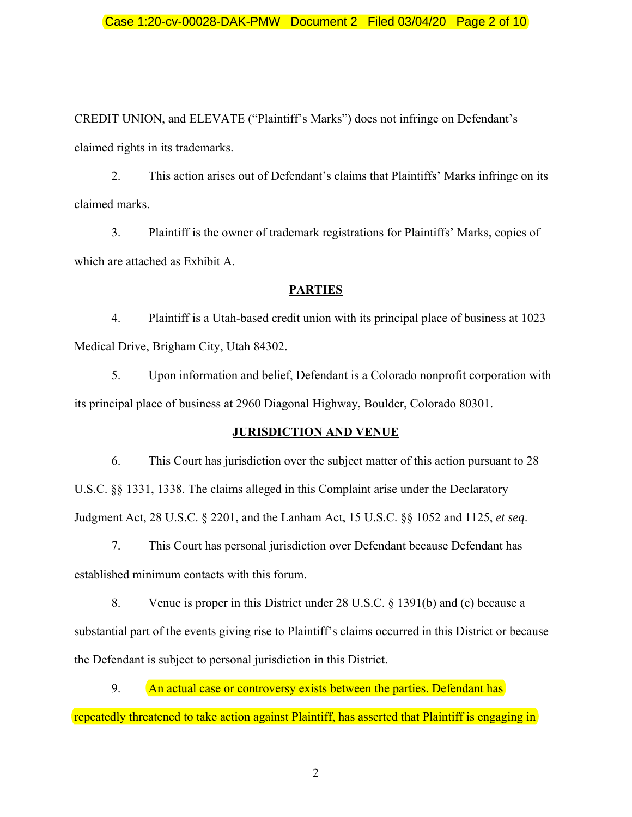## Case 1:20-cv-00028-DAK-PMW Document 2 Filed 03/04/20 Page 2 of 10

CREDIT UNION, and ELEVATE ("Plaintiff's Marks") does not infringe on Defendant's claimed rights in its trademarks.

2. This action arises out of Defendant's claims that Plaintiffs' Marks infringe on its claimed marks.

3. Plaintiff is the owner of trademark registrations for Plaintiffs' Marks, copies of which are attached as Exhibit A.

#### **PARTIES**

4. Plaintiff is a Utah-based credit union with its principal place of business at 1023 Medical Drive, Brigham City, Utah 84302.

5. Upon information and belief, Defendant is a Colorado nonprofit corporation with its principal place of business at 2960 Diagonal Highway, Boulder, Colorado 80301.

### **JURISDICTION AND VENUE**

6. This Court has jurisdiction over the subject matter of this action pursuant to 28 U.S.C. §§ 1331, 1338. The claims alleged in this Complaint arise under the Declaratory Judgment Act, 28 U.S.C. § 2201, and the Lanham Act, 15 U.S.C. §§ 1052 and 1125, *et seq*.

7. This Court has personal jurisdiction over Defendant because Defendant has established minimum contacts with this forum.

8. Venue is proper in this District under 28 U.S.C. § 1391(b) and (c) because a substantial part of the events giving rise to Plaintiff's claims occurred in this District or because the Defendant is subject to personal jurisdiction in this District.

9. An actual case or controversy exists between the parties. Defendant has repeatedly threatened to take action against Plaintiff, has asserted that Plaintiff is engaging in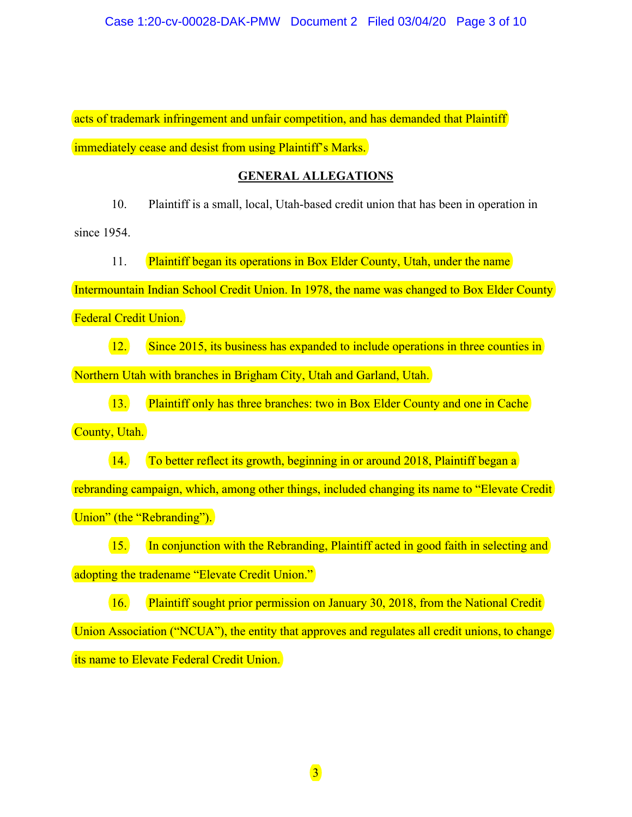acts of trademark infringement and unfair competition, and has demanded that Plaintiff immediately cease and desist from using Plaintiff's Marks.

## **GENERAL ALLEGATIONS**

10. Plaintiff is a small, local, Utah-based credit union that has been in operation in

since 1954.

11. Plaintiff began its operations in Box Elder County, Utah, under the name

Intermountain Indian School Credit Union. In 1978, the name was changed to Box Elder County

Federal Credit Union.

12. Since 2015, its business has expanded to include operations in three counties in

Northern Utah with branches in Brigham City, Utah and Garland, Utah.

13. Plaintiff only has three branches: two in Box Elder County and one in Cache

County, Utah.

14. To better reflect its growth, beginning in or around 2018, Plaintiff began a

rebranding campaign, which, among other things, included changing its name to "Elevate Credit Union" (the "Rebranding").

15. In conjunction with the Rebranding, Plaintiff acted in good faith in selecting and adopting the tradename "Elevate Credit Union."

16. Plaintiff sought prior permission on January 30, 2018, from the National Credit Union Association ("NCUA"), the entity that approves and regulates all credit unions, to change its name to Elevate Federal Credit Union.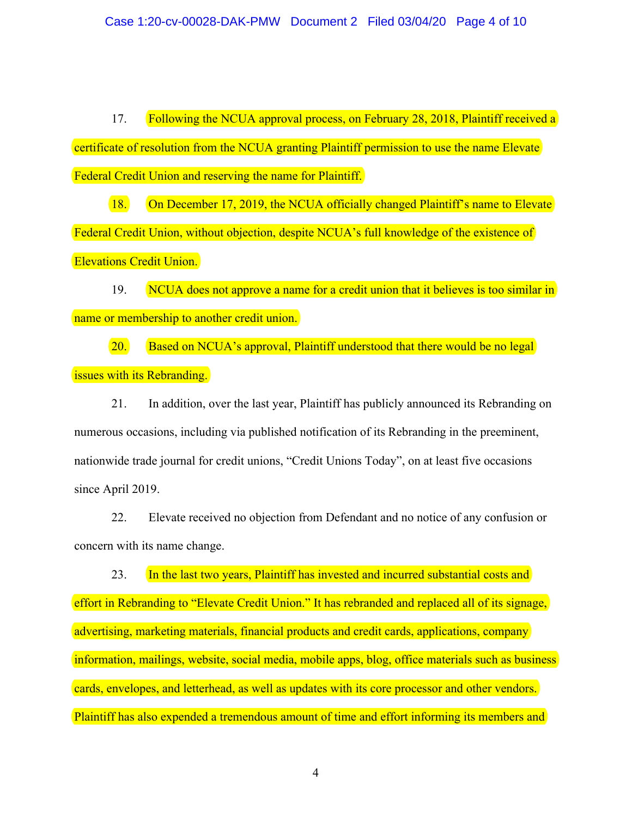17. Following the NCUA approval process, on February 28, 2018, Plaintiff received a certificate of resolution from the NCUA granting Plaintiff permission to use the name Elevate Federal Credit Union and reserving the name for Plaintiff.

18. On December 17, 2019, the NCUA officially changed Plaintiff's name to Elevate Federal Credit Union, without objection, despite NCUA's full knowledge of the existence of Elevations Credit Union.

19. NCUA does not approve a name for a credit union that it believes is too similar in name or membership to another credit union.

20. Based on NCUA's approval, Plaintiff understood that there would be no legal issues with its Rebranding.

21. In addition, over the last year, Plaintiff has publicly announced its Rebranding on numerous occasions, including via published notification of its Rebranding in the preeminent, nationwide trade journal for credit unions, "Credit Unions Today", on at least five occasions since April 2019.

22. Elevate received no objection from Defendant and no notice of any confusion or concern with its name change.

23. In the last two years, Plaintiff has invested and incurred substantial costs and effort in Rebranding to "Elevate Credit Union." It has rebranded and replaced all of its signage, advertising, marketing materials, financial products and credit cards, applications, company information, mailings, website, social media, mobile apps, blog, office materials such as business cards, envelopes, and letterhead, as well as updates with its core processor and other vendors. Plaintiff has also expended a tremendous amount of time and effort informing its members and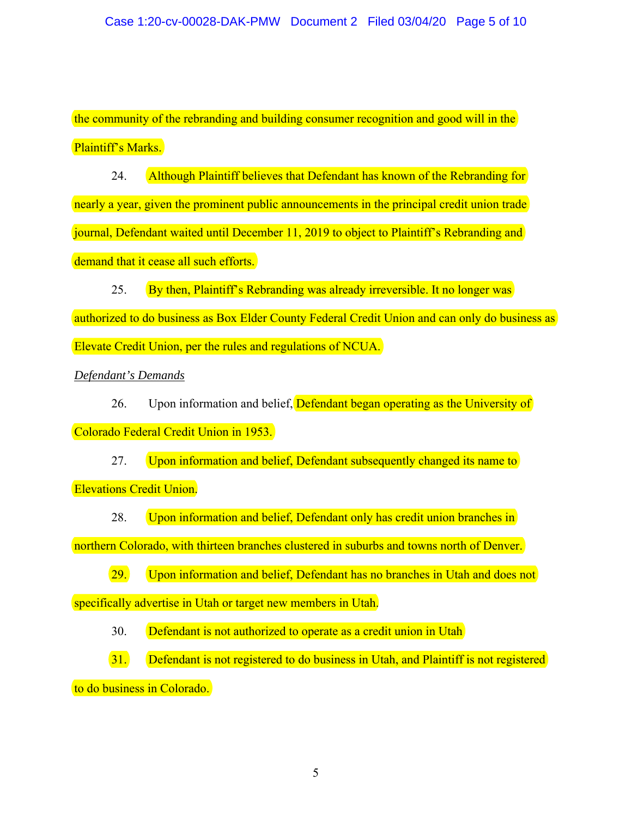the community of the rebranding and building consumer recognition and good will in the Plaintiff's Marks.

24. Although Plaintiff believes that Defendant has known of the Rebranding for nearly a year, given the prominent public announcements in the principal credit union trade journal, Defendant waited until December 11, 2019 to object to Plaintiff's Rebranding and demand that it cease all such efforts.

25. By then, Plaintiff's Rebranding was already irreversible. It no longer was authorized to do business as Box Elder County Federal Credit Union and can only do business as Elevate Credit Union, per the rules and regulations of NCUA.

*Defendant's Demands* 

26. Upon information and belief, **Defendant began operating as the University of** Colorado Federal Credit Union in 1953.

27. Upon information and belief, Defendant subsequently changed its name to Elevations Credit Union.

28. Upon information and belief, Defendant only has credit union branches in

northern Colorado, with thirteen branches clustered in suburbs and towns north of Denver.

29. Upon information and belief, Defendant has no branches in Utah and does not

specifically advertise in Utah or target new members in Utah.

30. Defendant is not authorized to operate as a credit union in Utah

31. Defendant is not registered to do business in Utah, and Plaintiff is not registered to do business in Colorado.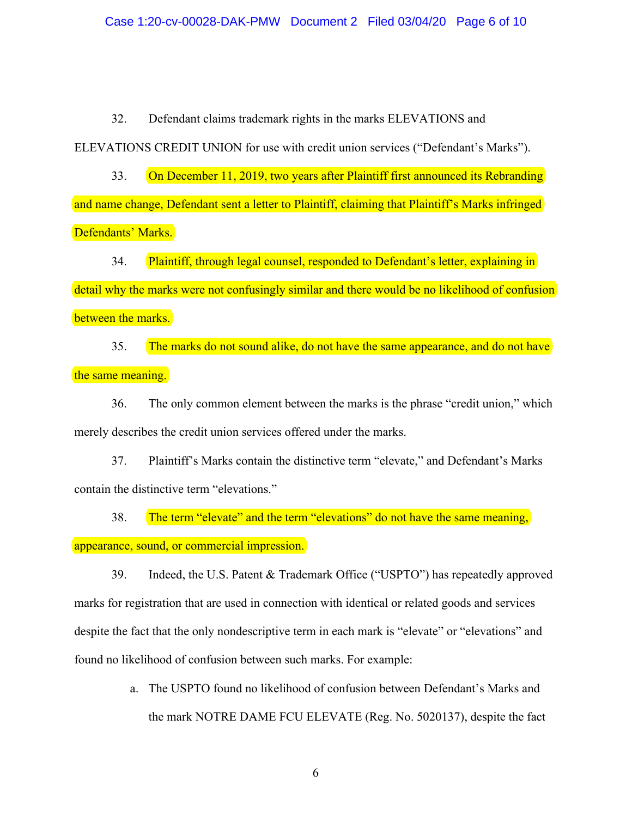#### Case 1:20-cv-00028-DAK-PMW Document 2 Filed 03/04/20 Page 6 of 10

32. Defendant claims trademark rights in the marks ELEVATIONS and

ELEVATIONS CREDIT UNION for use with credit union services ("Defendant's Marks").

33. On December 11, 2019, two years after Plaintiff first announced its Rebranding and name change, Defendant sent a letter to Plaintiff, claiming that Plaintiff's Marks infringed Defendants' Marks.

34. Plaintiff, through legal counsel, responded to Defendant's letter, explaining in

detail why the marks were not confusingly similar and there would be no likelihood of confusion between the marks.

35. The marks do not sound alike, do not have the same appearance, and do not have the same meaning.

36. The only common element between the marks is the phrase "credit union," which merely describes the credit union services offered under the marks.

37. Plaintiff's Marks contain the distinctive term "elevate," and Defendant's Marks contain the distinctive term "elevations."

38. The term "elevate" and the term "elevations" do not have the same meaning, appearance, sound, or commercial impression.

39. Indeed, the U.S. Patent & Trademark Office ("USPTO") has repeatedly approved marks for registration that are used in connection with identical or related goods and services despite the fact that the only nondescriptive term in each mark is "elevate" or "elevations" and found no likelihood of confusion between such marks. For example:

> a. The USPTO found no likelihood of confusion between Defendant's Marks and the mark NOTRE DAME FCU ELEVATE (Reg. No. 5020137), despite the fact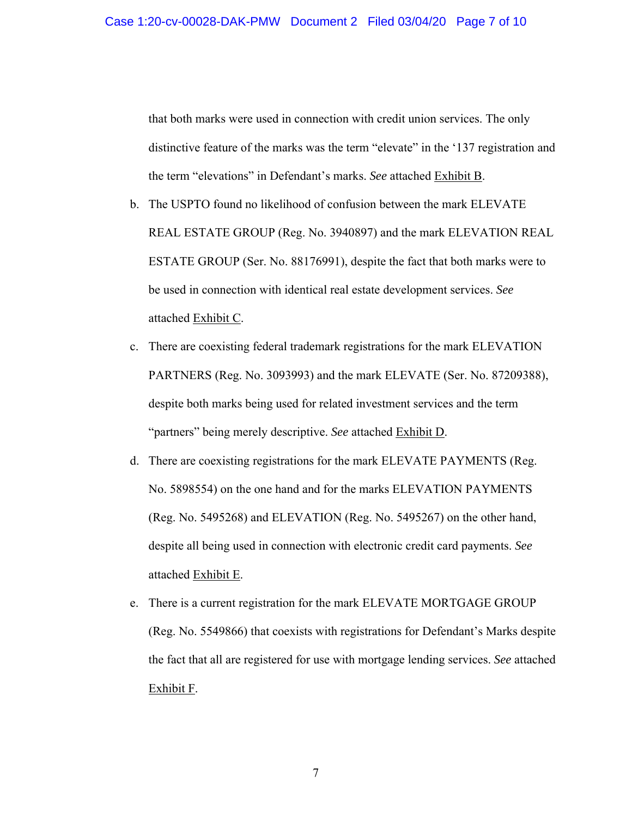that both marks were used in connection with credit union services. The only distinctive feature of the marks was the term "elevate" in the '137 registration and the term "elevations" in Defendant's marks. *See* attached Exhibit B.

- b. The USPTO found no likelihood of confusion between the mark ELEVATE REAL ESTATE GROUP (Reg. No. 3940897) and the mark ELEVATION REAL ESTATE GROUP (Ser. No. 88176991), despite the fact that both marks were to be used in connection with identical real estate development services. *See* attached Exhibit C.
- c. There are coexisting federal trademark registrations for the mark ELEVATION PARTNERS (Reg. No. 3093993) and the mark ELEVATE (Ser. No. 87209388), despite both marks being used for related investment services and the term "partners" being merely descriptive. *See* attached Exhibit D.
- d. There are coexisting registrations for the mark ELEVATE PAYMENTS (Reg. No. 5898554) on the one hand and for the marks ELEVATION PAYMENTS (Reg. No. 5495268) and ELEVATION (Reg. No. 5495267) on the other hand, despite all being used in connection with electronic credit card payments. *See* attached Exhibit E.
- e. There is a current registration for the mark ELEVATE MORTGAGE GROUP (Reg. No. 5549866) that coexists with registrations for Defendant's Marks despite the fact that all are registered for use with mortgage lending services. *See* attached Exhibit F.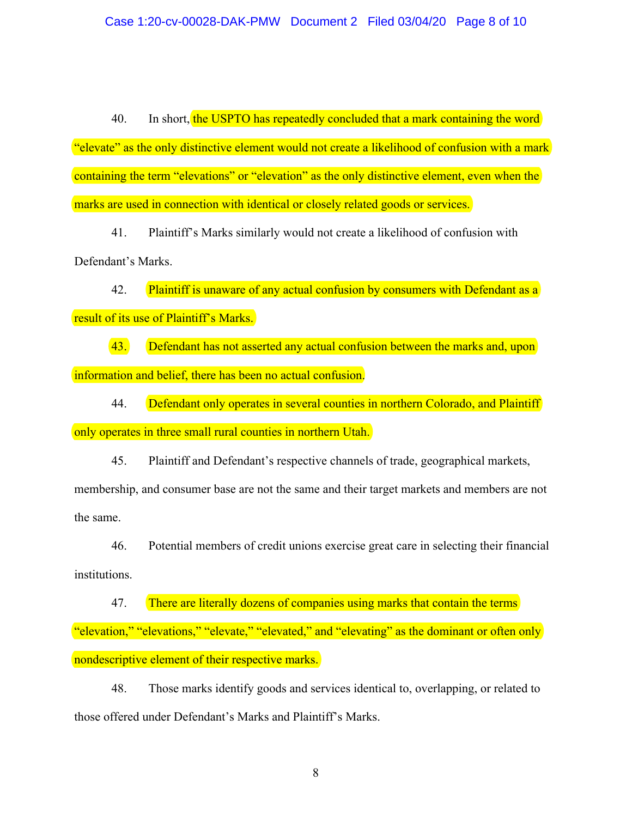40. In short, the USPTO has repeatedly concluded that a mark containing the word "elevate" as the only distinctive element would not create a likelihood of confusion with a mark containing the term "elevations" or "elevation" as the only distinctive element, even when the marks are used in connection with identical or closely related goods or services.

41. Plaintiff's Marks similarly would not create a likelihood of confusion with Defendant's Marks.

42. Plaintiff is unaware of any actual confusion by consumers with Defendant as a result of its use of Plaintiff's Marks.

43. Defendant has not asserted any actual confusion between the marks and, upon information and belief, there has been no actual confusion.

44. Defendant only operates in several counties in northern Colorado, and Plaintiff only operates in three small rural counties in northern Utah.

45. Plaintiff and Defendant's respective channels of trade, geographical markets, membership, and consumer base are not the same and their target markets and members are not the same.

46. Potential members of credit unions exercise great care in selecting their financial institutions.

47. There are literally dozens of companies using marks that contain the terms "elevation," "elevations," "elevate," "elevated," and "elevating" as the dominant or often only

nondescriptive element of their respective marks.

48. Those marks identify goods and services identical to, overlapping, or related to those offered under Defendant's Marks and Plaintiff's Marks.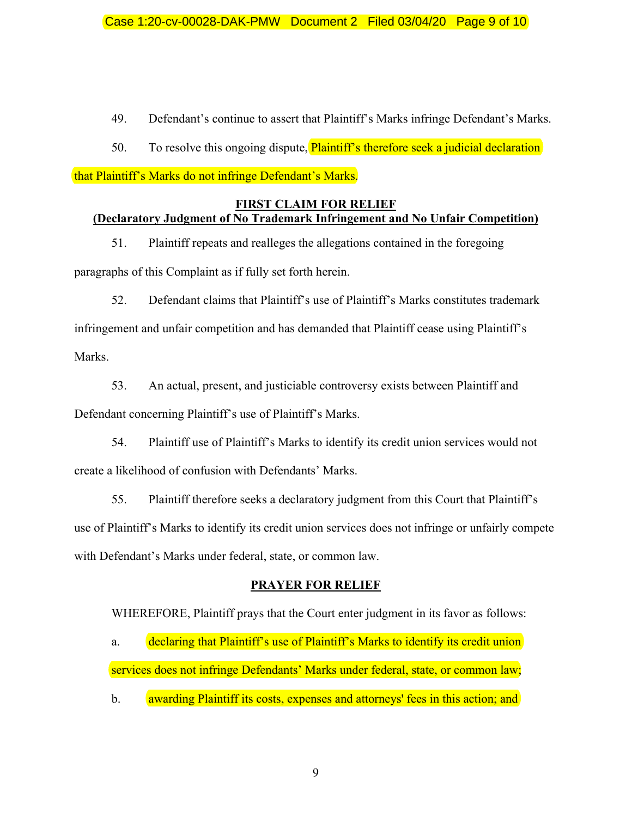49. Defendant's continue to assert that Plaintiff's Marks infringe Defendant's Marks.

50. To resolve this ongoing dispute, Plaintiff's therefore seek a judicial declaration

that Plaintiff's Marks do not infringe Defendant's Marks.

# **FIRST CLAIM FOR RELIEF**

# **(Declaratory Judgment of No Trademark Infringement and No Unfair Competition)**

51. Plaintiff repeats and realleges the allegations contained in the foregoing paragraphs of this Complaint as if fully set forth herein.

52. Defendant claims that Plaintiff's use of Plaintiff's Marks constitutes trademark infringement and unfair competition and has demanded that Plaintiff cease using Plaintiff's Marks.

53. An actual, present, and justiciable controversy exists between Plaintiff and Defendant concerning Plaintiff's use of Plaintiff's Marks.

54. Plaintiff use of Plaintiff's Marks to identify its credit union services would not create a likelihood of confusion with Defendants' Marks.

55. Plaintiff therefore seeks a declaratory judgment from this Court that Plaintiff's use of Plaintiff's Marks to identify its credit union services does not infringe or unfairly compete with Defendant's Marks under federal, state, or common law.

# **PRAYER FOR RELIEF**

WHEREFORE, Plaintiff prays that the Court enter judgment in its favor as follows:

a. declaring that Plaintiff's use of Plaintiff's Marks to identify its credit union services does not infringe Defendants' Marks under federal, state, or common law;

b. awarding Plaintiff its costs, expenses and attorneys' fees in this action; and